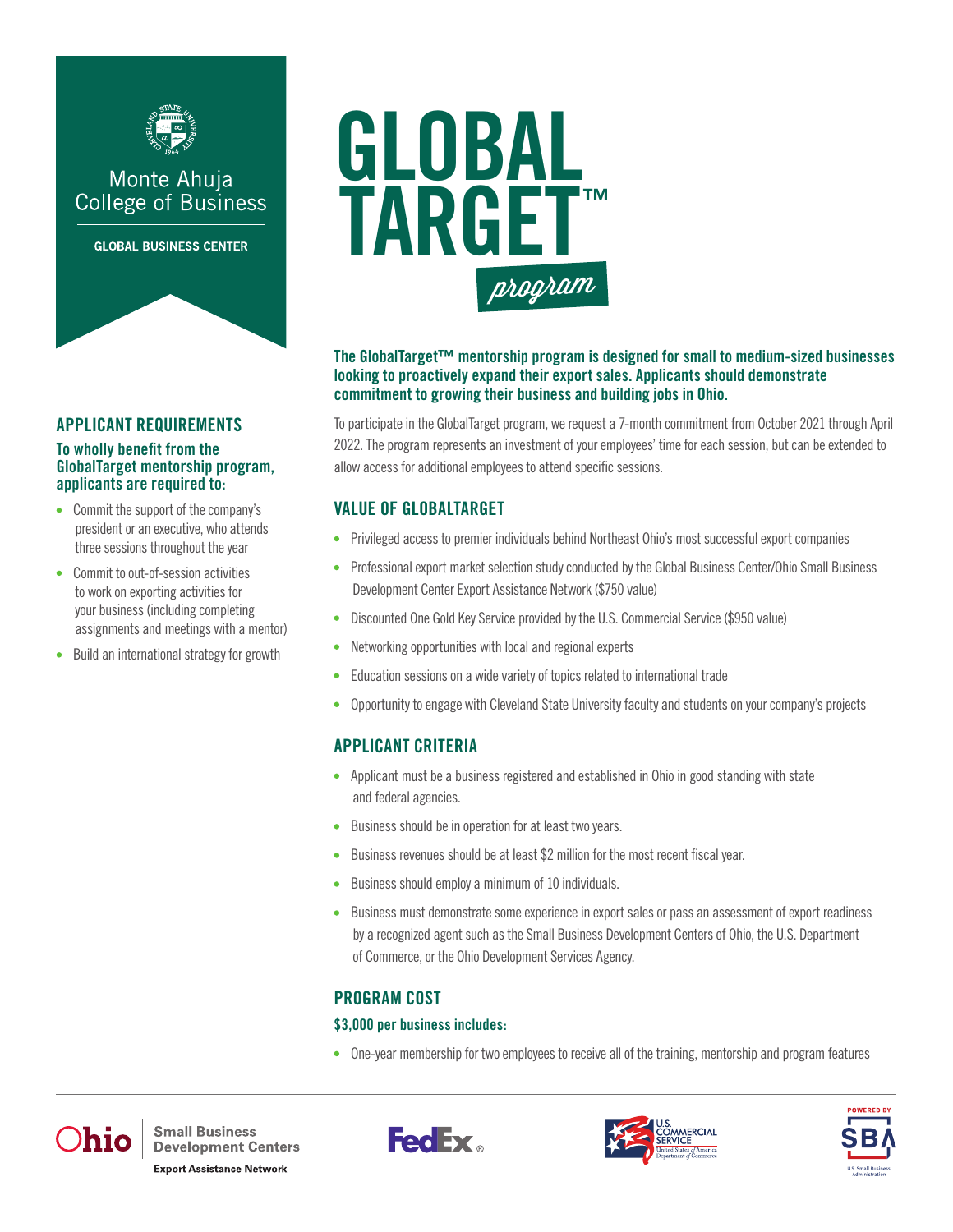

## Monte Ahuja **College of Business**

**GLOBAL BUSINESS CENTER** 



### APPLICANT REQUIREMENTS

#### To wholly benefit from the GlobalTarget mentorship program, applicants are required to:

- Commit the support of the company's president or an executive, who attends three sessions throughout the year
- Commit to out-of-session activities to work on exporting activities for your business (including completing assignments and meetings with a mentor)
- Build an international strategy for growth  $\bullet$



#### The GlobalTarget™ mentorship program is designed for small to medium-sized businesses looking to proactively expand their export sales. Applicants should demonstrate commitment to growing their business and building jobs in Ohio.

To participate in the GlobalTarget program, we request a 7-month commitment from October 2021 through April 2022. The program represents an investment of your employees' time for each session, but can be extended to allow access for additional employees to attend specific sessions.

### VALUE OF GLOBALTARGET

- Privileged access to premier individuals behind Northeast Ohio's most successful export companies
- Professional export market selection study conducted by the Global Business Center/Ohio Small Business Development Center Export Assistance Network (\$750 value)
- Discounted One Gold Key Service provided by the U.S. Commercial Service (\$950 value)
- Networking opportunities with local and regional experts
- Education sessions on a wide variety of topics related to international trade  $\bullet$
- Opportunity to engage with Cleveland State University faculty and students on your company's projects

## APPLICANT CRITERIA

- Applicant must be a business registered and established in Ohio in good standing with state and federal agencies.
- Business should be in operation for at least two years.
- Business revenues should be at least \$2 million for the most recent fiscal year.  $\bullet$
- Business should employ a minimum of 10 individuals.  $\bullet$
- Business must demonstrate some experience in export sales or pass an assessment of export readiness by a recognized agent such as the Small Business Development Centers of Ohio, the U.S. Department of Commerce, or the Ohio Development Services Agency.

## PROGRAM COST

#### \$3,000 per business includes:

One-year membership for two employees to receive all of the training, mentorship and program features



**Small Business Development Centers Export Assistance Network** 





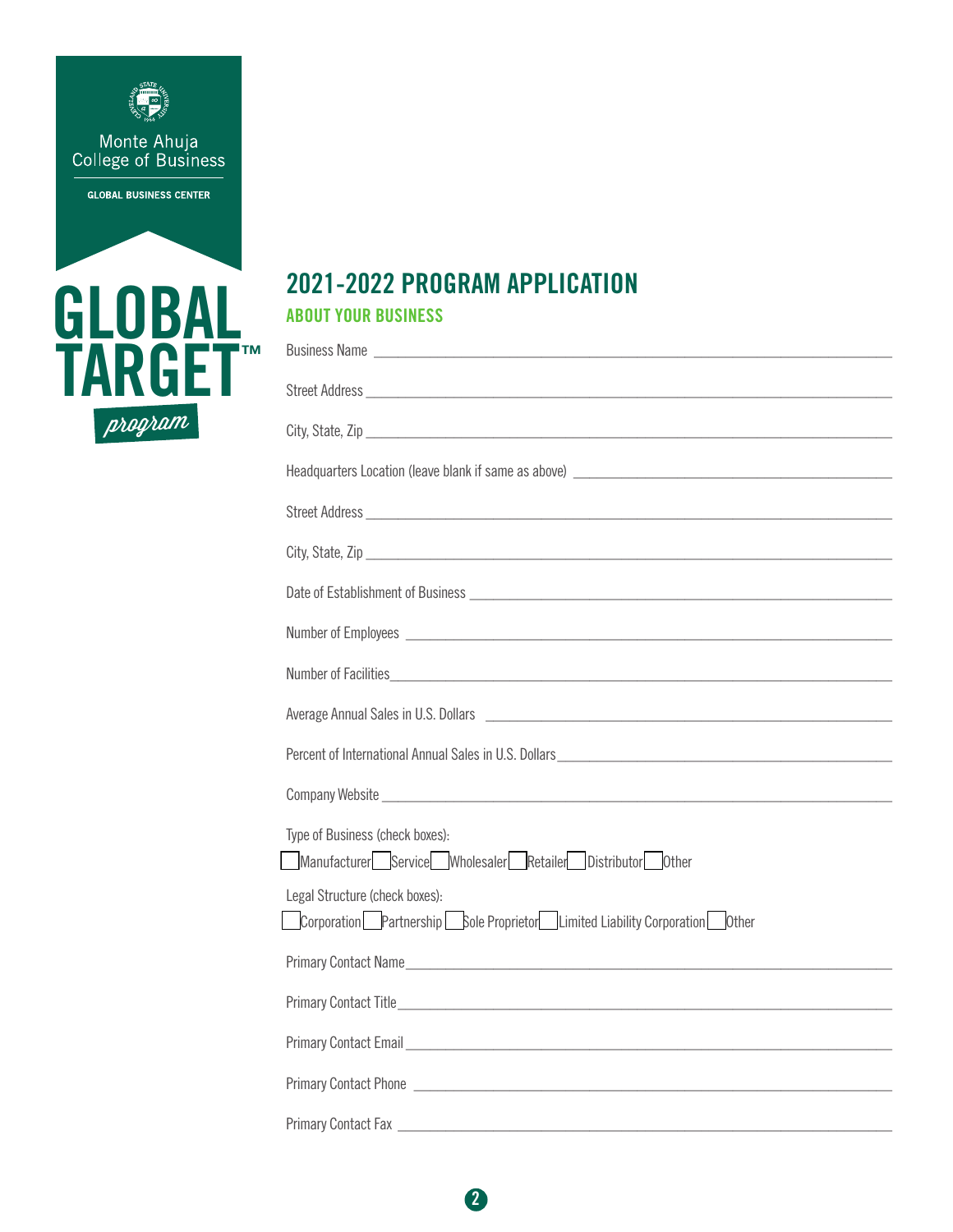



# 2021-2022 PROGRAM APPLICATION ABOUT YOUR BUSINESS

| Number of Employees experience and the set of the set of the set of the set of the set of the set of the set of the set of the set of the set of the set of the set of the set of the set of the set of the set of the set of |
|-------------------------------------------------------------------------------------------------------------------------------------------------------------------------------------------------------------------------------|
|                                                                                                                                                                                                                               |
|                                                                                                                                                                                                                               |
| Percent of International Annual Sales in U.S. Dollars [1986] [1988] [1988] [1988] [1988] [1988] [1989] [1988] [1989] [1989] [1989] [1989] [1989] [1989] [1989] [1989] [1989] [1989] [1989] [1989] [1989] [1989] [1989] [1989] |
|                                                                                                                                                                                                                               |
| Type of Business (check boxes):                                                                                                                                                                                               |
| Manufacturer  Service Mholesaler Retailer Distributor Other                                                                                                                                                                   |
| Legal Structure (check boxes):                                                                                                                                                                                                |
| Corporation Partnership Sole Proprietor Limited Liability Corporation Other                                                                                                                                                   |
| Primary Contact Name                                                                                                                                                                                                          |
|                                                                                                                                                                                                                               |
| Primary Contact Email <u>Primary Contact Email</u>                                                                                                                                                                            |
| Primary Contact Phone <b>contact</b> Phone <b>contact Phone contact in the contact of the contact of the contact Phone</b>                                                                                                    |
|                                                                                                                                                                                                                               |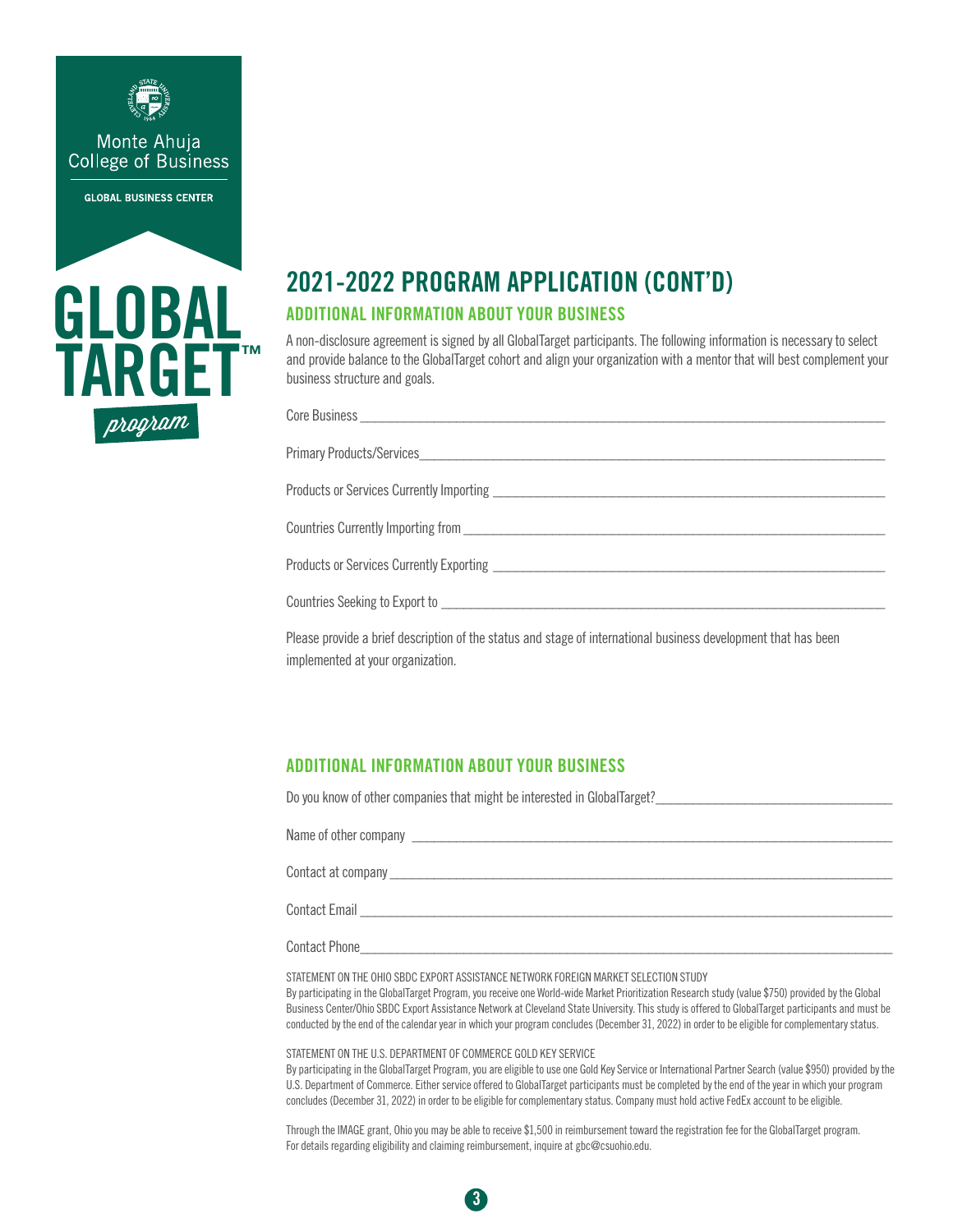



# 2021-2022 PROGRAM APPLICATION (CONT'D) ADDITIONAL INFORMATION ABOUT YOUR BUSINESS

A non-disclosure agreement is signed by all GlobalTarget participants. The following information is necessary to select and provide balance to the GlobalTarget cohort and align your organization with a mentor that will best complement your business structure and goals.

| Primary Products/Services                                                                                      |
|----------------------------------------------------------------------------------------------------------------|
|                                                                                                                |
| Countries Currently Importing from                                                                             |
|                                                                                                                |
|                                                                                                                |
| Please provide a brief description of the status and stage of international business development that has been |

Please provide a brief description of the status and stage of international business development that has been implemented at your organization.

### ADDITIONAL INFORMATION ABOUT YOUR BUSINESS

Do you know of other companies that might be interested in GlobalTarget?

Name of other company the state of  $\alpha$ 

Contact at company

Contact Email **Exercise 20** 

Contact Phone

STATEMENT ON THE OHIO SBDC EXPORT ASSISTANCE NETWORK FOREIGN MARKET SELECTION STUDY By participating in the GlobalTarget Program, you receive one World-wide Market Prioritization Research study (value \$750) provided by the Global Business Center/Ohio SBDC Export Assistance Network at Cleveland State University. This study is offered to GlobalTarget participants and must be conducted by the end of the calendar year in which your program concludes (December 31, 2022) in order to be eligible for complementary status.

STATEMENT ON THE U.S. DEPARTMENT OF COMMERCE GOLD KEY SERVICE

By participating in the GlobalTarget Program, you are eligible to use one Gold Key Service or International Partner Search (value \$950) provided by the U.S. Department of Commerce. Either service offered to GlobalTarget participants must be completed by the end of the year in which your program concludes (December 31, 2022) in order to be eligible for complementary status. Company must hold active FedEx account to be eligible.

Through the IMAGE grant, Ohio you may be able to receive \$1,500 in reimbursement toward the registration fee for the GlobalTarget program. For details regarding eligibility and claiming reimbursement, inquire at gbc@csuohio.edu.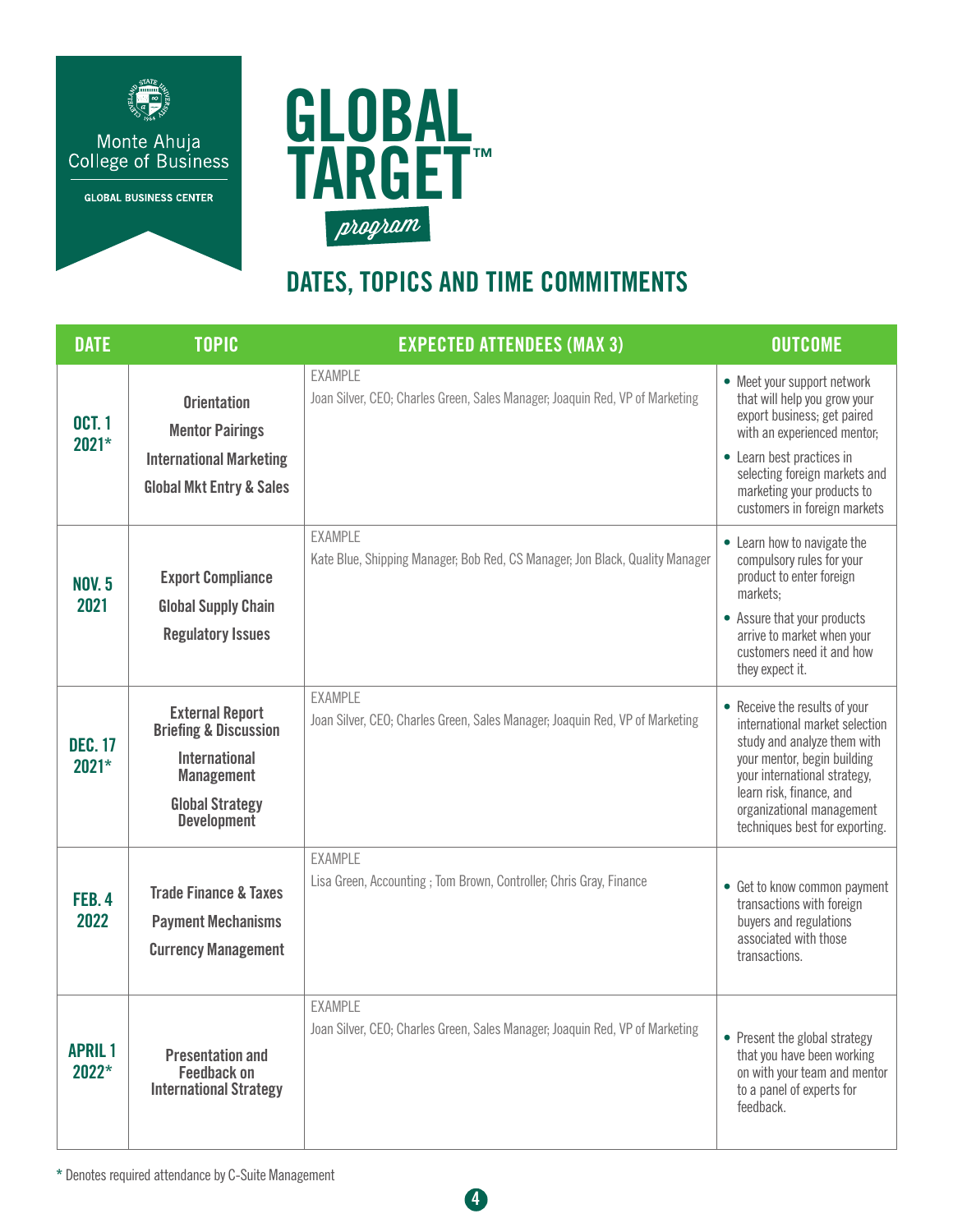



# DATES, TOPICS AND TIME COMMITMENTS

| <b>DATE</b>               | <b>TOPIC</b>                                                                                                                                            | <b>EXPECTED ATTENDEES (MAX 3)</b>                                                              | <b>OUTCOME</b>                                                                                                                                                                                                                                           |
|---------------------------|---------------------------------------------------------------------------------------------------------------------------------------------------------|------------------------------------------------------------------------------------------------|----------------------------------------------------------------------------------------------------------------------------------------------------------------------------------------------------------------------------------------------------------|
| <b>OCT. 1</b><br>$2021*$  | <b>Orientation</b><br><b>Mentor Pairings</b><br><b>International Marketing</b><br><b>Global Mkt Entry &amp; Sales</b>                                   | <b>EXAMPLE</b><br>Joan Silver, CEO; Charles Green, Sales Manager; Joaquin Red, VP of Marketing | • Meet your support network<br>that will help you grow your<br>export business; get paired<br>with an experienced mentor;<br>• Learn best practices in<br>selecting foreign markets and<br>marketing your products to<br>customers in foreign markets    |
| <b>NOV. 5</b><br>2021     | <b>Export Compliance</b><br><b>Global Supply Chain</b><br><b>Regulatory Issues</b>                                                                      | EXAMPLE<br>Kate Blue, Shipping Manager; Bob Red, CS Manager; Jon Black, Quality Manager        | • Learn how to navigate the<br>compulsory rules for your<br>product to enter foreign<br>markets;<br>• Assure that your products<br>arrive to market when your<br>customers need it and how<br>they expect it.                                            |
| <b>DEC. 17</b><br>$2021*$ | <b>External Report</b><br><b>Briefing &amp; Discussion</b><br><b>International</b><br><b>Management</b><br><b>Global Strategy</b><br><b>Development</b> | <b>EXAMPLE</b><br>Joan Silver, CEO; Charles Green, Sales Manager; Joaquin Red, VP of Marketing | • Receive the results of your<br>international market selection<br>study and analyze them with<br>your mentor, begin building<br>your international strategy,<br>learn risk, finance, and<br>organizational management<br>techniques best for exporting. |
| <b>FEB. 4</b><br>2022     | <b>Trade Finance &amp; Taxes</b><br><b>Payment Mechanisms</b><br><b>Currency Management</b>                                                             | <b>EXAMPLE</b><br>Lisa Green, Accounting; Tom Brown, Controller; Chris Gray, Finance           | • Get to know common payment<br>transactions with foreign<br>buyers and regulations<br>associated with those<br>transactions.                                                                                                                            |
| <b>APRIL1</b><br>$2022*$  | <b>Presentation and</b><br><b>Feedback on</b><br><b>International Strategy</b>                                                                          | <b>EXAMPLE</b><br>Joan Silver, CEO; Charles Green, Sales Manager; Joaquin Red, VP of Marketing | • Present the global strategy<br>that you have been working<br>on with your team and mentor<br>to a panel of experts for<br>feedback.                                                                                                                    |

4

\* Denotes required attendance by C-Suite Management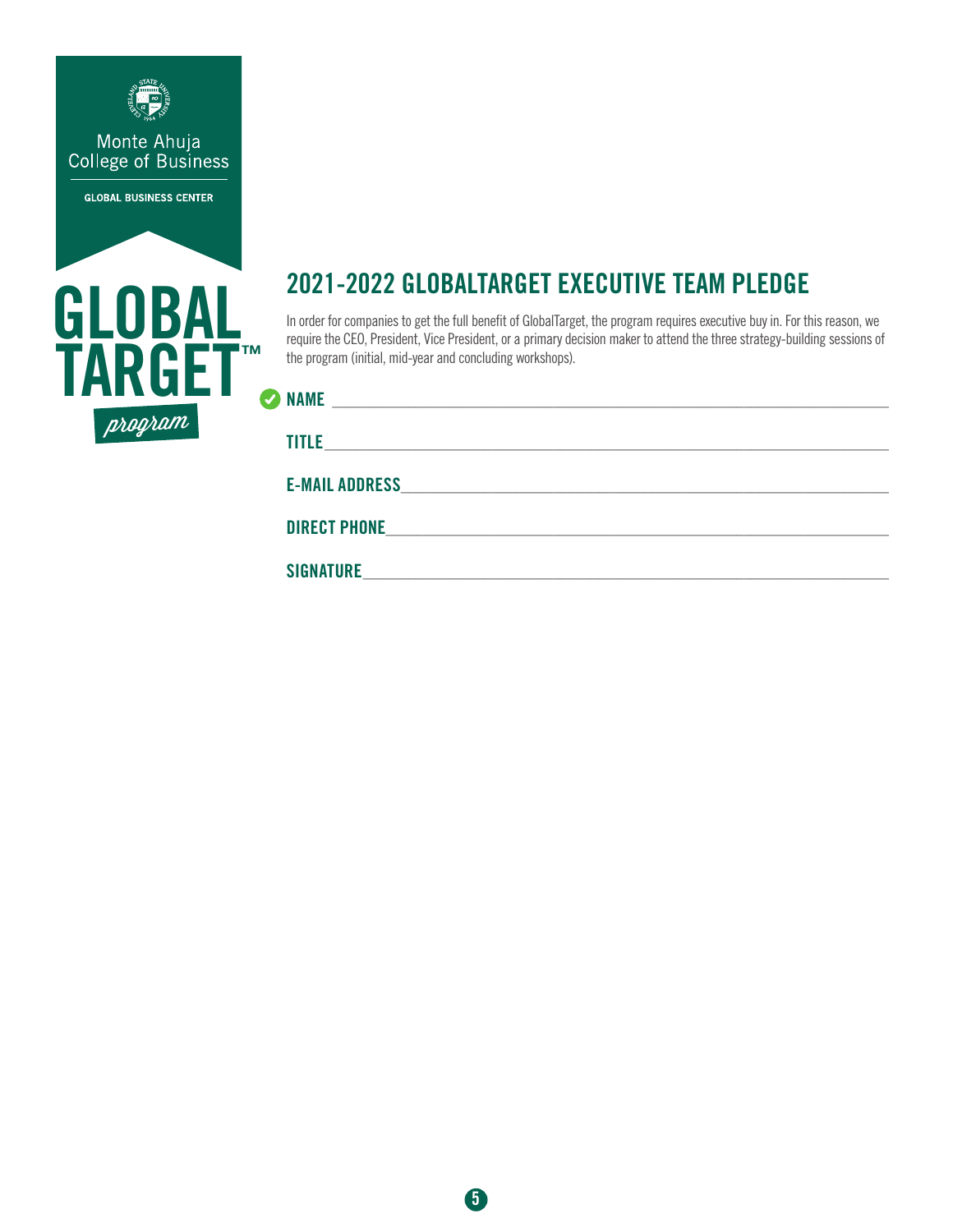



# 2021-2022 GLOBALTARGET EXECUTIVE TEAM PLEDGE

In order for companies to get the full benefit of GlobalTarget, the program requires executive buy in. For this reason, we require the CEO, President, Vice President, or a primary decision maker to attend the three strategy-building sessions of the program (initial, mid-year and concluding workshops).